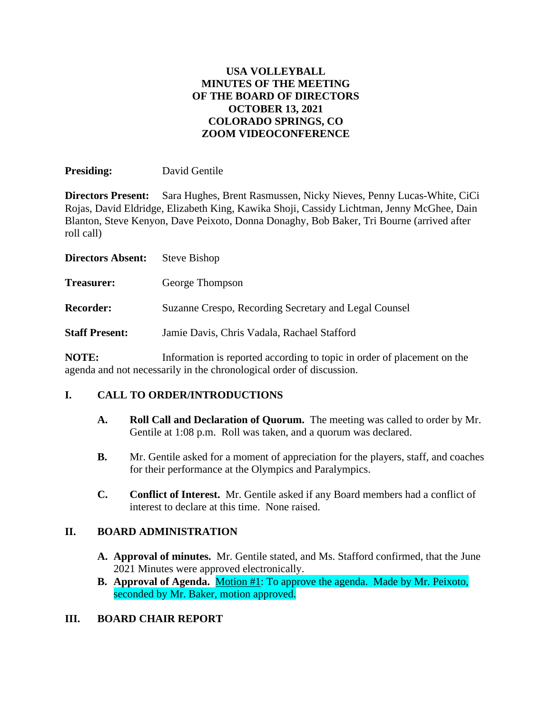#### **USA VOLLEYBALL MINUTES OF THE MEETING OF THE BOARD OF DIRECTORS OCTOBER 13, 2021 COLORADO SPRINGS, CO ZOOM VIDEOCONFERENCE**

**Presiding:** David Gentile

**Directors Present:** Sara Hughes, Brent Rasmussen, Nicky Nieves, Penny Lucas-White, CiCi Rojas, David Eldridge, Elizabeth King, Kawika Shoji, Cassidy Lichtman, Jenny McGhee, Dain Blanton, Steve Kenyon, Dave Peixoto, Donna Donaghy, Bob Baker, Tri Bourne (arrived after roll call)

| <b>Directors Absent:</b> | <b>Steve Bishop</b>                                                                           |
|--------------------------|-----------------------------------------------------------------------------------------------|
| <b>Treasurer:</b>        | George Thompson                                                                               |
| <b>Recorder:</b>         | Suzanne Crespo, Recording Secretary and Legal Counsel                                         |
| <b>Staff Present:</b>    | Jamie Davis, Chris Vadala, Rachael Stafford                                                   |
| MATT.                    | The functional continuous contract and the contract of the contract of a function of $\alpha$ |

**NOTE:** Information is reported according to topic in order of placement on the agenda and not necessarily in the chronological order of discussion.

#### **I. CALL TO ORDER/INTRODUCTIONS**

- **A. Roll Call and Declaration of Quorum.** The meeting was called to order by Mr. Gentile at 1:08 p.m. Roll was taken, and a quorum was declared.
- **B.** Mr. Gentile asked for a moment of appreciation for the players, staff, and coaches for their performance at the Olympics and Paralympics.
- **C. Conflict of Interest.** Mr. Gentile asked if any Board members had a conflict of interest to declare at this time. None raised.

#### **II. BOARD ADMINISTRATION**

- **A. Approval of minutes.** Mr. Gentile stated, and Ms. Stafford confirmed, that the June 2021 Minutes were approved electronically.
- **B. Approval of Agenda.** Motion #1: To approve the agenda. Made by Mr. Peixoto, seconded by Mr. Baker, motion approved.

#### **III. BOARD CHAIR REPORT**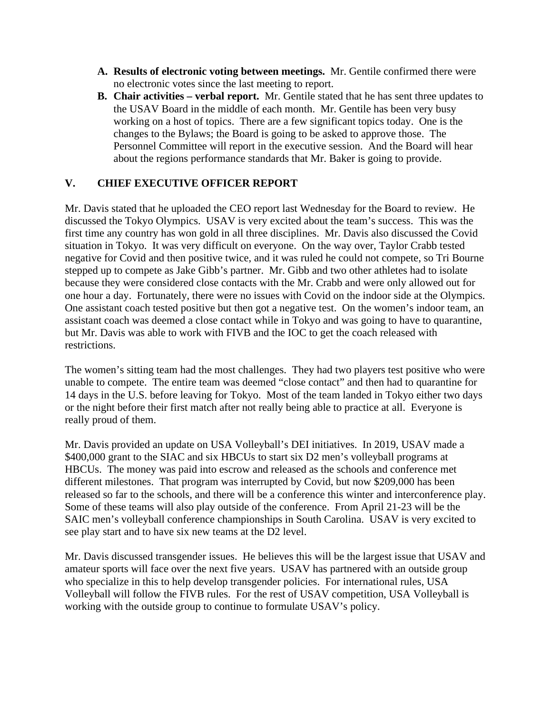- **A. Results of electronic voting between meetings.** Mr. Gentile confirmed there were no electronic votes since the last meeting to report.
- **B. Chair activities – verbal report.** Mr. Gentile stated that he has sent three updates to the USAV Board in the middle of each month. Mr. Gentile has been very busy working on a host of topics. There are a few significant topics today. One is the changes to the Bylaws; the Board is going to be asked to approve those. The Personnel Committee will report in the executive session. And the Board will hear about the regions performance standards that Mr. Baker is going to provide.

### **V. CHIEF EXECUTIVE OFFICER REPORT**

Mr. Davis stated that he uploaded the CEO report last Wednesday for the Board to review. He discussed the Tokyo Olympics. USAV is very excited about the team's success. This was the first time any country has won gold in all three disciplines. Mr. Davis also discussed the Covid situation in Tokyo. It was very difficult on everyone. On the way over, Taylor Crabb tested negative for Covid and then positive twice, and it was ruled he could not compete, so Tri Bourne stepped up to compete as Jake Gibb's partner. Mr. Gibb and two other athletes had to isolate because they were considered close contacts with the Mr. Crabb and were only allowed out for one hour a day. Fortunately, there were no issues with Covid on the indoor side at the Olympics. One assistant coach tested positive but then got a negative test. On the women's indoor team, an assistant coach was deemed a close contact while in Tokyo and was going to have to quarantine, but Mr. Davis was able to work with FIVB and the IOC to get the coach released with restrictions.

The women's sitting team had the most challenges. They had two players test positive who were unable to compete. The entire team was deemed "close contact" and then had to quarantine for 14 days in the U.S. before leaving for Tokyo. Most of the team landed in Tokyo either two days or the night before their first match after not really being able to practice at all. Everyone is really proud of them.

Mr. Davis provided an update on USA Volleyball's DEI initiatives. In 2019, USAV made a \$400,000 grant to the SIAC and six HBCUs to start six D2 men's volleyball programs at HBCUs. The money was paid into escrow and released as the schools and conference met different milestones. That program was interrupted by Covid, but now \$209,000 has been released so far to the schools, and there will be a conference this winter and interconference play. Some of these teams will also play outside of the conference. From April 21-23 will be the SAIC men's volleyball conference championships in South Carolina. USAV is very excited to see play start and to have six new teams at the D2 level.

Mr. Davis discussed transgender issues. He believes this will be the largest issue that USAV and amateur sports will face over the next five years. USAV has partnered with an outside group who specialize in this to help develop transgender policies. For international rules, USA Volleyball will follow the FIVB rules. For the rest of USAV competition, USA Volleyball is working with the outside group to continue to formulate USAV's policy.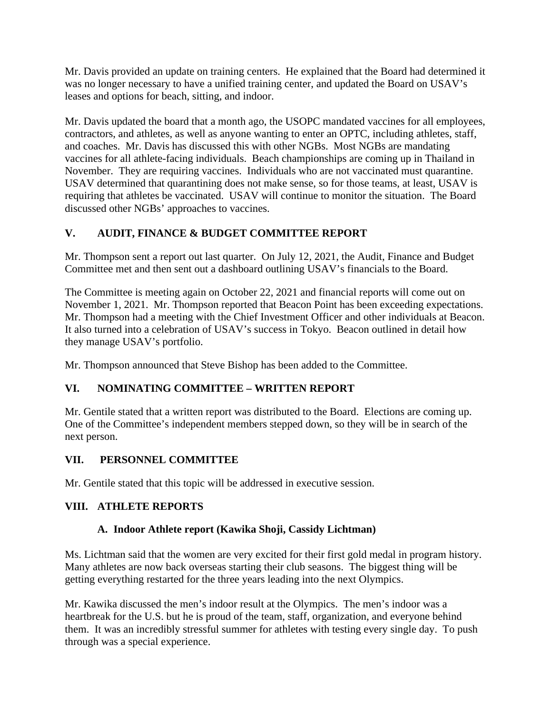Mr. Davis provided an update on training centers. He explained that the Board had determined it was no longer necessary to have a unified training center, and updated the Board on USAV's leases and options for beach, sitting, and indoor.

Mr. Davis updated the board that a month ago, the USOPC mandated vaccines for all employees, contractors, and athletes, as well as anyone wanting to enter an OPTC, including athletes, staff, and coaches. Mr. Davis has discussed this with other NGBs. Most NGBs are mandating vaccines for all athlete-facing individuals. Beach championships are coming up in Thailand in November. They are requiring vaccines. Individuals who are not vaccinated must quarantine. USAV determined that quarantining does not make sense, so for those teams, at least, USAV is requiring that athletes be vaccinated. USAV will continue to monitor the situation. The Board discussed other NGBs' approaches to vaccines.

## **V. AUDIT, FINANCE & BUDGET COMMITTEE REPORT**

Mr. Thompson sent a report out last quarter. On July 12, 2021, the Audit, Finance and Budget Committee met and then sent out a dashboard outlining USAV's financials to the Board.

The Committee is meeting again on October 22, 2021 and financial reports will come out on November 1, 2021. Mr. Thompson reported that Beacon Point has been exceeding expectations. Mr. Thompson had a meeting with the Chief Investment Officer and other individuals at Beacon. It also turned into a celebration of USAV's success in Tokyo. Beacon outlined in detail how they manage USAV's portfolio.

Mr. Thompson announced that Steve Bishop has been added to the Committee.

## **VI. NOMINATING COMMITTEE – WRITTEN REPORT**

Mr. Gentile stated that a written report was distributed to the Board. Elections are coming up. One of the Committee's independent members stepped down, so they will be in search of the next person.

## **VII. PERSONNEL COMMITTEE**

Mr. Gentile stated that this topic will be addressed in executive session.

#### **VIII. ATHLETE REPORTS**

#### **A. Indoor Athlete report (Kawika Shoji, Cassidy Lichtman)**

Ms. Lichtman said that the women are very excited for their first gold medal in program history. Many athletes are now back overseas starting their club seasons. The biggest thing will be getting everything restarted for the three years leading into the next Olympics.

Mr. Kawika discussed the men's indoor result at the Olympics. The men's indoor was a heartbreak for the U.S. but he is proud of the team, staff, organization, and everyone behind them. It was an incredibly stressful summer for athletes with testing every single day. To push through was a special experience.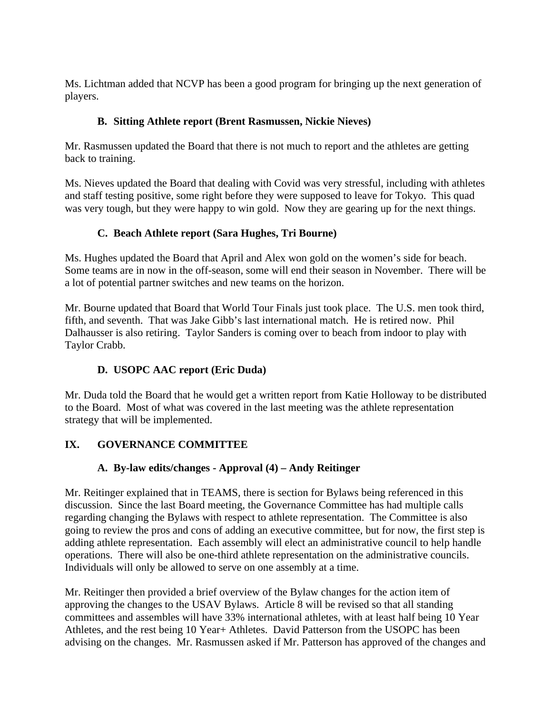Ms. Lichtman added that NCVP has been a good program for bringing up the next generation of players.

## **B. Sitting Athlete report (Brent Rasmussen, Nickie Nieves)**

Mr. Rasmussen updated the Board that there is not much to report and the athletes are getting back to training.

Ms. Nieves updated the Board that dealing with Covid was very stressful, including with athletes and staff testing positive, some right before they were supposed to leave for Tokyo. This quad was very tough, but they were happy to win gold. Now they are gearing up for the next things.

# **C. Beach Athlete report (Sara Hughes, Tri Bourne)**

Ms. Hughes updated the Board that April and Alex won gold on the women's side for beach. Some teams are in now in the off-season, some will end their season in November. There will be a lot of potential partner switches and new teams on the horizon.

Mr. Bourne updated that Board that World Tour Finals just took place. The U.S. men took third, fifth, and seventh. That was Jake Gibb's last international match. He is retired now. Phil Dalhausser is also retiring. Taylor Sanders is coming over to beach from indoor to play with Taylor Crabb.

# **D. USOPC AAC report (Eric Duda)**

Mr. Duda told the Board that he would get a written report from Katie Holloway to be distributed to the Board. Most of what was covered in the last meeting was the athlete representation strategy that will be implemented.

# **IX. GOVERNANCE COMMITTEE**

# **A. By-law edits/changes - Approval (4) – Andy Reitinger**

Mr. Reitinger explained that in TEAMS, there is section for Bylaws being referenced in this discussion. Since the last Board meeting, the Governance Committee has had multiple calls regarding changing the Bylaws with respect to athlete representation. The Committee is also going to review the pros and cons of adding an executive committee, but for now, the first step is adding athlete representation. Each assembly will elect an administrative council to help handle operations. There will also be one-third athlete representation on the administrative councils. Individuals will only be allowed to serve on one assembly at a time.

Mr. Reitinger then provided a brief overview of the Bylaw changes for the action item of approving the changes to the USAV Bylaws. Article 8 will be revised so that all standing committees and assembles will have 33% international athletes, with at least half being 10 Year Athletes, and the rest being 10 Year+ Athletes. David Patterson from the USOPC has been advising on the changes. Mr. Rasmussen asked if Mr. Patterson has approved of the changes and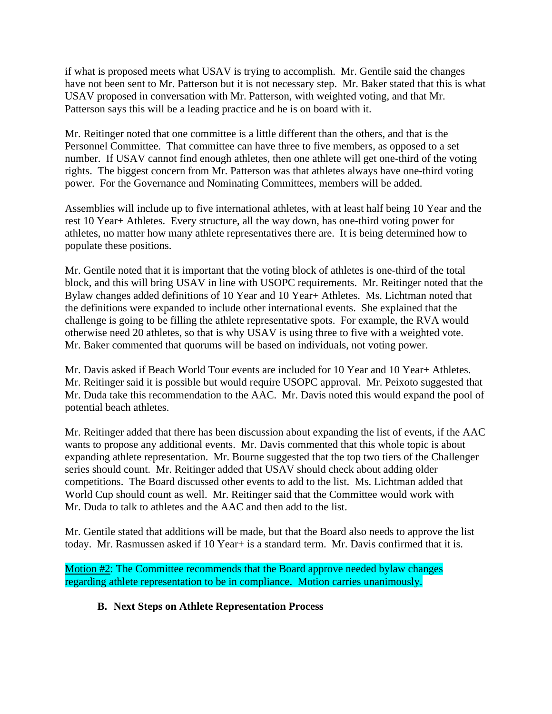if what is proposed meets what USAV is trying to accomplish. Mr. Gentile said the changes have not been sent to Mr. Patterson but it is not necessary step. Mr. Baker stated that this is what USAV proposed in conversation with Mr. Patterson, with weighted voting, and that Mr. Patterson says this will be a leading practice and he is on board with it.

Mr. Reitinger noted that one committee is a little different than the others, and that is the Personnel Committee. That committee can have three to five members, as opposed to a set number. If USAV cannot find enough athletes, then one athlete will get one-third of the voting rights. The biggest concern from Mr. Patterson was that athletes always have one-third voting power. For the Governance and Nominating Committees, members will be added.

Assemblies will include up to five international athletes, with at least half being 10 Year and the rest 10 Year+ Athletes. Every structure, all the way down, has one-third voting power for athletes, no matter how many athlete representatives there are. It is being determined how to populate these positions.

Mr. Gentile noted that it is important that the voting block of athletes is one-third of the total block, and this will bring USAV in line with USOPC requirements. Mr. Reitinger noted that the Bylaw changes added definitions of 10 Year and 10 Year+ Athletes. Ms. Lichtman noted that the definitions were expanded to include other international events. She explained that the challenge is going to be filling the athlete representative spots. For example, the RVA would otherwise need 20 athletes, so that is why USAV is using three to five with a weighted vote. Mr. Baker commented that quorums will be based on individuals, not voting power.

Mr. Davis asked if Beach World Tour events are included for 10 Year and 10 Year+ Athletes. Mr. Reitinger said it is possible but would require USOPC approval. Mr. Peixoto suggested that Mr. Duda take this recommendation to the AAC. Mr. Davis noted this would expand the pool of potential beach athletes.

Mr. Reitinger added that there has been discussion about expanding the list of events, if the AAC wants to propose any additional events. Mr. Davis commented that this whole topic is about expanding athlete representation. Mr. Bourne suggested that the top two tiers of the Challenger series should count. Mr. Reitinger added that USAV should check about adding older competitions. The Board discussed other events to add to the list. Ms. Lichtman added that World Cup should count as well. Mr. Reitinger said that the Committee would work with Mr. Duda to talk to athletes and the AAC and then add to the list.

Mr. Gentile stated that additions will be made, but that the Board also needs to approve the list today. Mr. Rasmussen asked if 10 Year+ is a standard term. Mr. Davis confirmed that it is.

Motion #2: The Committee recommends that the Board approve needed bylaw changes regarding athlete representation to be in compliance. Motion carries unanimously.

#### **B. Next Steps on Athlete Representation Process**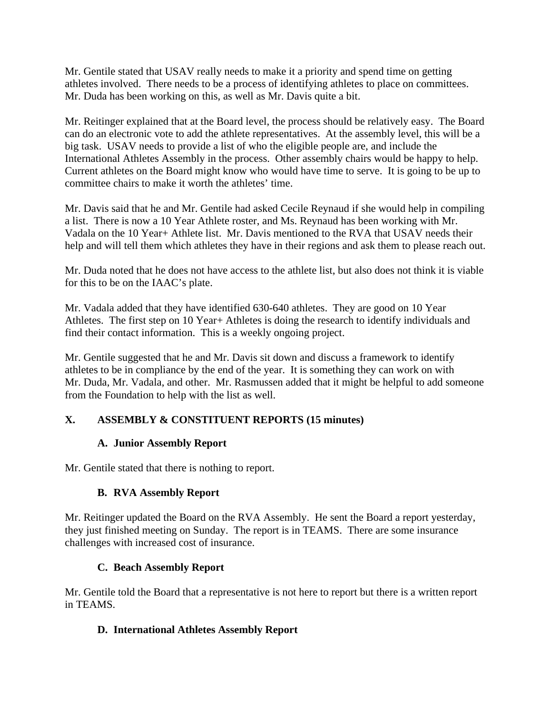Mr. Gentile stated that USAV really needs to make it a priority and spend time on getting athletes involved. There needs to be a process of identifying athletes to place on committees. Mr. Duda has been working on this, as well as Mr. Davis quite a bit.

Mr. Reitinger explained that at the Board level, the process should be relatively easy. The Board can do an electronic vote to add the athlete representatives. At the assembly level, this will be a big task. USAV needs to provide a list of who the eligible people are, and include the International Athletes Assembly in the process. Other assembly chairs would be happy to help. Current athletes on the Board might know who would have time to serve. It is going to be up to committee chairs to make it worth the athletes' time.

Mr. Davis said that he and Mr. Gentile had asked Cecile Reynaud if she would help in compiling a list. There is now a 10 Year Athlete roster, and Ms. Reynaud has been working with Mr. Vadala on the 10 Year+ Athlete list. Mr. Davis mentioned to the RVA that USAV needs their help and will tell them which athletes they have in their regions and ask them to please reach out.

Mr. Duda noted that he does not have access to the athlete list, but also does not think it is viable for this to be on the IAAC's plate.

Mr. Vadala added that they have identified 630-640 athletes. They are good on 10 Year Athletes. The first step on 10 Year+ Athletes is doing the research to identify individuals and find their contact information. This is a weekly ongoing project.

Mr. Gentile suggested that he and Mr. Davis sit down and discuss a framework to identify athletes to be in compliance by the end of the year. It is something they can work on with Mr. Duda, Mr. Vadala, and other. Mr. Rasmussen added that it might be helpful to add someone from the Foundation to help with the list as well.

## **X. ASSEMBLY & CONSTITUENT REPORTS (15 minutes)**

#### **A. Junior Assembly Report**

Mr. Gentile stated that there is nothing to report.

#### **B. RVA Assembly Report**

Mr. Reitinger updated the Board on the RVA Assembly. He sent the Board a report yesterday, they just finished meeting on Sunday. The report is in TEAMS. There are some insurance challenges with increased cost of insurance.

#### **C. Beach Assembly Report**

Mr. Gentile told the Board that a representative is not here to report but there is a written report in TEAMS.

#### **D. International Athletes Assembly Report**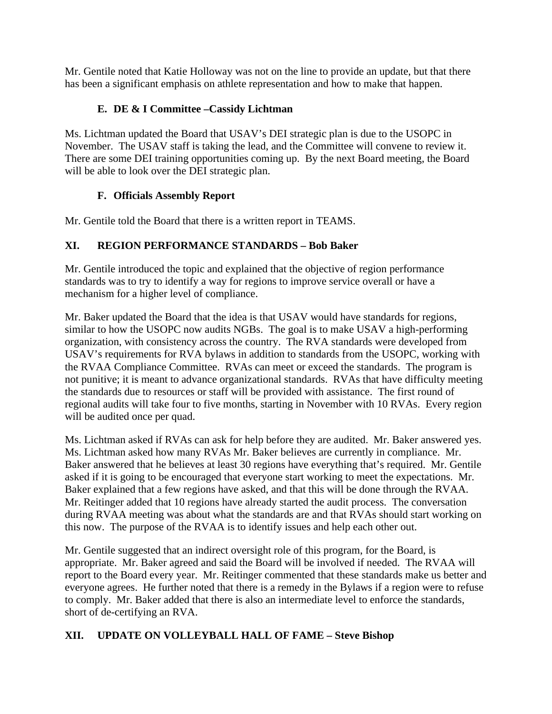Mr. Gentile noted that Katie Holloway was not on the line to provide an update, but that there has been a significant emphasis on athlete representation and how to make that happen.

## **E. DE & I Committee –Cassidy Lichtman**

Ms. Lichtman updated the Board that USAV's DEI strategic plan is due to the USOPC in November. The USAV staff is taking the lead, and the Committee will convene to review it. There are some DEI training opportunities coming up. By the next Board meeting, the Board will be able to look over the DEI strategic plan.

### **F. Officials Assembly Report**

Mr. Gentile told the Board that there is a written report in TEAMS.

## **XI. REGION PERFORMANCE STANDARDS – Bob Baker**

Mr. Gentile introduced the topic and explained that the objective of region performance standards was to try to identify a way for regions to improve service overall or have a mechanism for a higher level of compliance.

Mr. Baker updated the Board that the idea is that USAV would have standards for regions, similar to how the USOPC now audits NGBs. The goal is to make USAV a high-performing organization, with consistency across the country. The RVA standards were developed from USAV's requirements for RVA bylaws in addition to standards from the USOPC, working with the RVAA Compliance Committee. RVAs can meet or exceed the standards. The program is not punitive; it is meant to advance organizational standards. RVAs that have difficulty meeting the standards due to resources or staff will be provided with assistance. The first round of regional audits will take four to five months, starting in November with 10 RVAs. Every region will be audited once per quad.

Ms. Lichtman asked if RVAs can ask for help before they are audited. Mr. Baker answered yes. Ms. Lichtman asked how many RVAs Mr. Baker believes are currently in compliance. Mr. Baker answered that he believes at least 30 regions have everything that's required. Mr. Gentile asked if it is going to be encouraged that everyone start working to meet the expectations. Mr. Baker explained that a few regions have asked, and that this will be done through the RVAA. Mr. Reitinger added that 10 regions have already started the audit process. The conversation during RVAA meeting was about what the standards are and that RVAs should start working on this now. The purpose of the RVAA is to identify issues and help each other out.

Mr. Gentile suggested that an indirect oversight role of this program, for the Board, is appropriate. Mr. Baker agreed and said the Board will be involved if needed. The RVAA will report to the Board every year. Mr. Reitinger commented that these standards make us better and everyone agrees. He further noted that there is a remedy in the Bylaws if a region were to refuse to comply. Mr. Baker added that there is also an intermediate level to enforce the standards, short of de-certifying an RVA.

## **XII. UPDATE ON VOLLEYBALL HALL OF FAME – Steve Bishop**